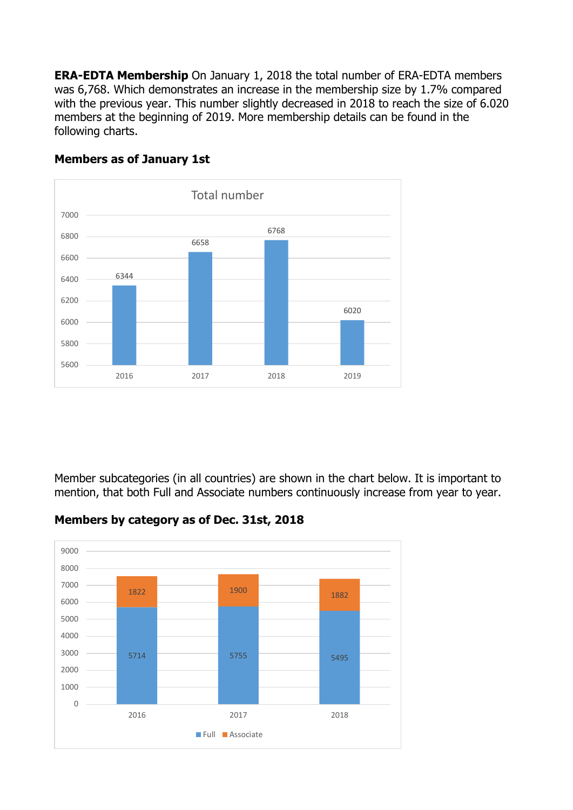**ERA-EDTA Membership** On January 1, 2018 the total number of ERA-EDTA members was 6,768. Which demonstrates an increase in the membership size by 1.7% compared with the previous year. This number slightly decreased in 2018 to reach the size of 6.020 members at the beginning of 2019. More membership details can be found in the following charts.



#### **Members as of January 1st**

Member subcategories (in all countries) are shown in the chart below. It is important to mention, that both Full and Associate numbers continuously increase from year to year.

#### **Members by category as of Dec. 31st, 2018**

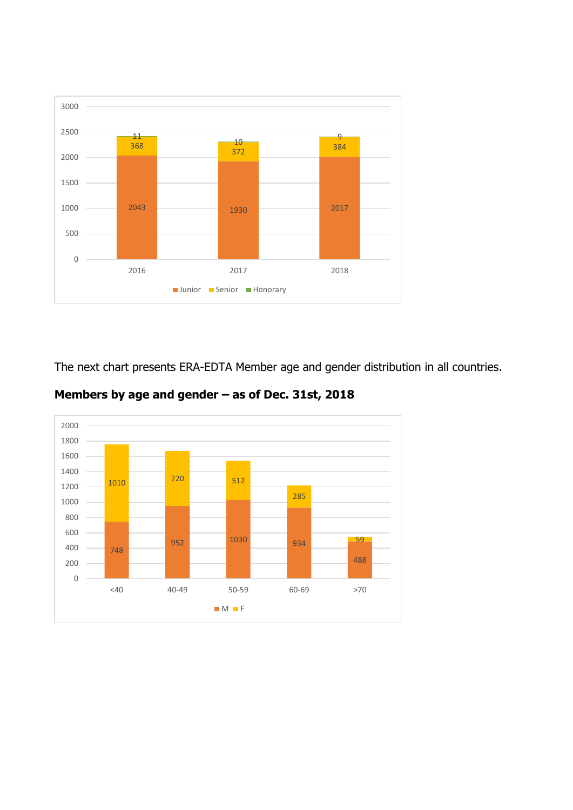

The next chart presents ERA-EDTA Member age and gender distribution in all countries.



**Members by age and gender – as of Dec. 31st, 2018**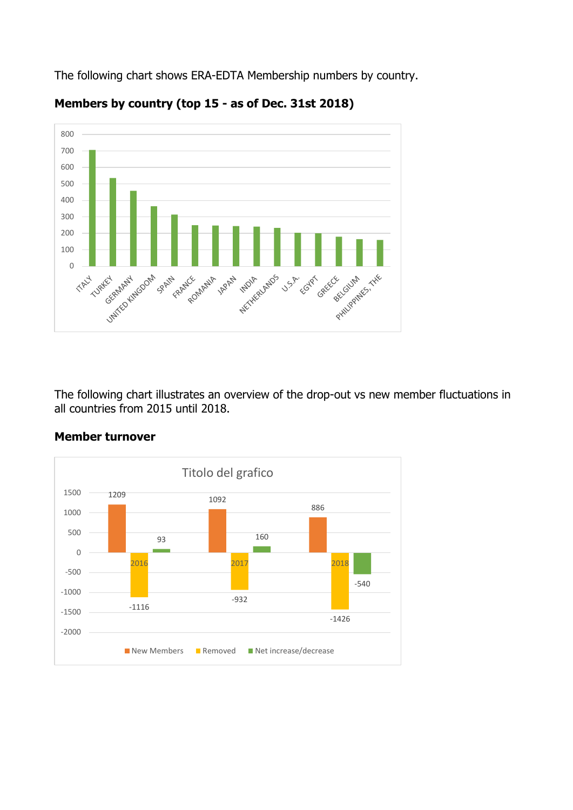The following chart shows ERA-EDTA Membership numbers by country.



# **Members by country (top 15 - as of Dec. 31st 2018)**

The following chart illustrates an overview of the drop-out vs new member fluctuations in all countries from 2015 until 2018.



# **Member turnover**